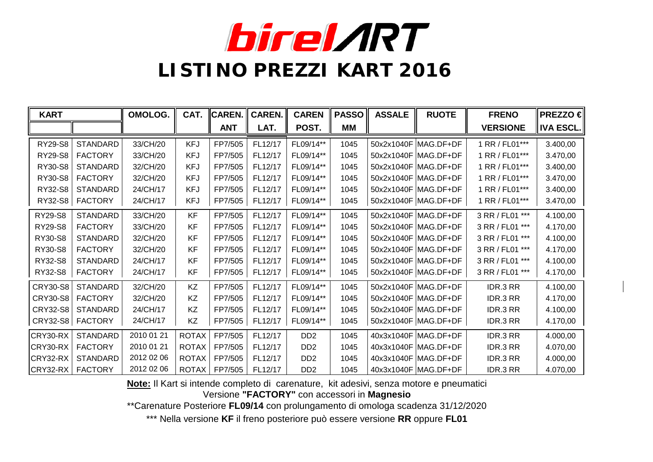

| <b>KART</b>     |                 | OMOLOG.    | CAT.         | <b>CAREN.</b> | <b>CAREN.</b> | <b>CAREN</b>                | <b>PASSO</b> | <b>ASSALE</b> | <b>RUOTE</b>         | <b>FRENO</b>    | <b>PREZZO €</b>  |
|-----------------|-----------------|------------|--------------|---------------|---------------|-----------------------------|--------------|---------------|----------------------|-----------------|------------------|
|                 |                 |            |              | <b>ANT</b>    | LAT.          | POST.                       | <b>MM</b>    |               |                      | <b>VERSIONE</b> | <b>IVA ESCL.</b> |
| RY29-S8         | <b>STANDARD</b> | 33/CH/20   | <b>KFJ</b>   | FP7/505       | FL12/17       | FL09/14**                   | 1045         |               | 50x2x1040F MAG.DF+DF | 1 RR / FL01***  | 3.400,00         |
| RY29-S8         | <b>FACTORY</b>  | 33/CH/20   | <b>KFJ</b>   | FP7/505       | FL12/17       | FL09/14**                   | 1045         |               | 50x2x1040F MAG.DF+DF | 1 RR / FL01***  | 3.470,00         |
| RY30-S8         | <b>STANDARD</b> | 32/CH/20   | <b>KFJ</b>   | FP7/505       | FL12/17       | FL09/14**                   | 1045         |               | 50x2x1040F MAG.DF+DF | 1 RR / FL01***  | 3.400,00         |
| RY30-S8         | <b>FACTORY</b>  | 32/CH/20   | <b>KFJ</b>   | FP7/505       | FL12/17       | FL09/14**                   | 1045         |               | 50x2x1040F MAG.DF+DF | 1 RR / FL01***  | 3.470,00         |
| RY32-S8         | <b>STANDARD</b> | 24/CH/17   | <b>KFJ</b>   | FP7/505       | FL12/17       | FL09/14**                   | 1045         |               | 50x2x1040F MAG.DF+DF | 1 RR / FL01***  | 3.400,00         |
| RY32-S8         | <b>FACTORY</b>  | 24/CH/17   | <b>KFJ</b>   | FP7/505       | FL12/17       | FL09/14**                   | 1045         |               | 50x2x1040F MAG.DF+DF | 1 RR / FL01***  | 3.470,00         |
| RY29-S8         | <b>STANDARD</b> | 33/CH/20   | <b>KF</b>    | FP7/505       | FL12/17       | FL09/14**                   | 1045         |               | 50x2x1040F MAG.DF+DF | 3 RR / FL01 *** | 4.100,00         |
| <b>RY29-S8</b>  | <b>FACTORY</b>  | 33/CH/20   | <b>KF</b>    | FP7/505       | FL12/17       | FL09/14**                   | 1045         |               | 50x2x1040F MAG.DF+DF | 3 RR / FL01 *** | 4.170,00         |
| RY30-S8         | <b>STANDARD</b> | 32/CH/20   | KF           | FP7/505       | FL12/17       | FL09/14**                   | 1045         |               | 50x2x1040F MAG.DF+DF | 3 RR / FL01 *** | 4.100,00         |
| RY30-S8         | <b>FACTORY</b>  | 32/CH/20   | <b>KF</b>    | FP7/505       | FL12/17       | FL09/14**                   | 1045         |               | 50x2x1040F MAG.DF+DF | 3 RR / FL01 *** | 4.170,00         |
| RY32-S8         | <b>STANDARD</b> | 24/CH/17   | <b>KF</b>    | FP7/505       | FL12/17       | FL09/14**                   | 1045         |               | 50x2x1040F MAG.DF+DF | 3 RR / FL01 *** | 4.100,00         |
| RY32-S8         | <b>FACTORY</b>  | 24/CH/17   | <b>KF</b>    | FP7/505       | FL12/17       | FL09/14**                   | 1045         |               | 50x2x1040F MAG.DF+DF | 3 RR / FL01 *** | 4.170,00         |
| CRY30-S8        | <b>STANDARD</b> | 32/CH/20   | KZ           | FP7/505       | FL12/17       | FL09/14**                   | 1045         |               | 50x2x1040F MAG.DF+DF | IDR.3 RR        | 4.100,00         |
| CRY30-S8        | <b>FACTORY</b>  | 32/CH/20   | KZ           | FP7/505       | FL12/17       | FL09/14**                   | 1045         |               | 50x2x1040F MAG.DF+DF | IDR.3 RR        | 4.170,00         |
| <b>CRY32-S8</b> | <b>STANDARD</b> | 24/CH/17   | KZ           | FP7/505       | FL12/17       | FL09/14**                   | 1045         |               | 50x2x1040F MAG.DF+DF | IDR.3 RR        | 4.100,00         |
| CRY32-S8        | <b>FACTORY</b>  | 24/CH/17   | KZ           | FP7/505       | FL12/17       | FL09/14**                   | 1045         |               | 50x2x1040F MAG.DF+DF | IDR.3 RR        | 4.170,00         |
| CRY30-RX        | <b>STANDARD</b> | 2010 01 21 | <b>ROTAX</b> | FP7/505       | FL12/17       | DD <sub>2</sub>             | 1045         |               | 40x3x1040F MAG.DF+DF | IDR.3 RR        | 4.000,00         |
| CRY30-RX        | <b>FACTORY</b>  | 2010 01 21 | <b>ROTAX</b> | FP7/505       | FL12/17       | D <sub>D</sub> <sub>2</sub> | 1045         |               | 40x3x1040F MAG.DF+DF | IDR.3 RR        | 4.070,00         |
| CRY32-RX        | <b>STANDARD</b> | 2012 02 06 | <b>ROTAX</b> | FP7/505       | FL12/17       | D <sub>D</sub> <sub>2</sub> | 1045         |               | 40x3x1040F MAG.DF+DF | IDR.3 RR        | 4.000,00         |
| $CRY32-RX$      | <b>FACTORY</b>  | 2012 02 06 | <b>ROTAX</b> | FP7/505       | FL12/17       | D <sub>D</sub> <sub>2</sub> | 1045         |               | 40x3x1040F MAG.DF+DF | IDR.3 RR        | 4.070,00         |

**Note:** Il Kart si intende completo di carenature, kit adesivi, senza motore e pneumatici

Versione **"FACTORY"** con accessori in **Magnesio**

\*\*Carenature Posteriore **FL09/14** con prolungamento di omologa scadenza 31/12/2020

\*\*\* Nella versione **KF** il freno posteriore può essere versione **RR** oppure **FL01**